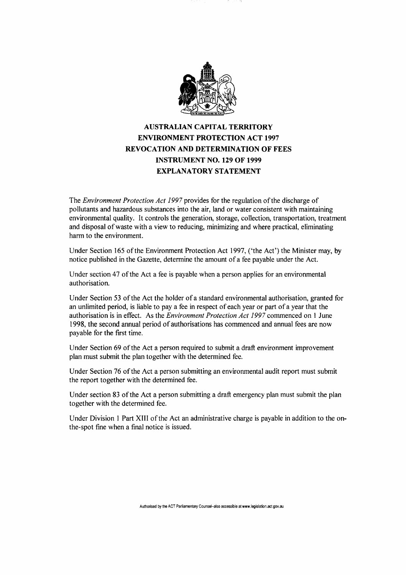

## **AUSTRALIAN CAPITAL TERRITORY ENVIRONMENT PROTECTION ACT 1997 REVOCATION AND DETERMINATION OF FEES INSTRUMENT NO. 129 OF 1999 EXPLANATORY STATEMENT**

The *Environment Protection Act 1997* provides for the regulation of the discharge of pollutants and hazardous substances into the air, land or water consistent with maintaining environmental quality. It controls the generation, storage, collection, transportation, treatment and disposal of waste with a view to reducing, minimizing and where practical, eliminating harm to the environment.

Under Section 165 of the Environment Protection Act 1997, ('the Act') the Minister may, by notice published in the Gazette, determine the amount of a fee payable under the Act.

Under section 47 of the Act a fee is payable when a person applies for an environmental authorisation.

Under Section 53 of the Act the holder of a standard environmental authorisation, granted for an unlimited period, is liable to pay a fee in respect of each year or part of a year that the authorisation is in effect. As the *Environment Protection Act 1997* commenced on 1 June 1998, the second annual period of authorisations has commenced and annual fees are now payable for the first time.

Under Section 69 of the Act a person required to submit a draft environment improvement plan must submit the plan together with the determined fee.

Under Section 76 of the Act a person submitting an environmental audit report must submit the report together with the determined fee.

Under section 83 of the Act a person submitting a draft emergency plan must submit the plan together with the determined fee.

Under Division 1 Part XIII of the Act an administrative charge is payable in addition to the onthe-spot fine when a final notice is issued.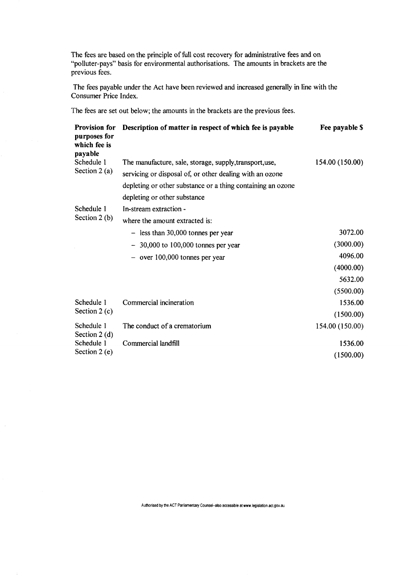The fees are based on the principle of full cost recovery for administrative fees and on "polluter-pays" basis for environmental authorisations. The amounts in brackets are the previous fees.

The fees payable under the Act have been reviewed and increased generally in line with the Consumer Price Index.

The fees are set out below; the amounts in the brackets are the previous fees.

| <b>Provision for</b><br>purposes for<br>which fee is<br>payable | Description of matter in respect of which fee is payable    | Fee payable \$  |
|-----------------------------------------------------------------|-------------------------------------------------------------|-----------------|
| Schedule 1<br>Section $2(a)$                                    | The manufacture, sale, storage, supply, transport, use,     | 154.00 (150.00) |
|                                                                 | servicing or disposal of, or other dealing with an ozone    |                 |
|                                                                 | depleting or other substance or a thing containing an ozone |                 |
|                                                                 | depleting or other substance                                |                 |
| Schedule 1                                                      | In-stream extraction -                                      |                 |
| Section $2(b)$                                                  | where the amount extracted is:                              |                 |
|                                                                 | $-$ less than 30,000 tonnes per year                        | 3072.00         |
|                                                                 | $-30,000$ to 100,000 tonnes per year                        | (3000.00)       |
|                                                                 | $-$ over 100,000 tonnes per year                            | 4096.00         |
|                                                                 |                                                             | (4000.00)       |
|                                                                 |                                                             | 5632.00         |
|                                                                 |                                                             | (5500.00)       |
| Schedule 1<br>Section $2(c)$                                    | Commercial incineration                                     | 1536.00         |
|                                                                 |                                                             | (1500.00)       |
| Schedule 1<br>Section $2(d)$<br>Schedule 1                      | The conduct of a crematorium                                | 154.00 (150.00) |
|                                                                 | Commercial landfill                                         | 1536.00         |
| Section $2(e)$                                                  |                                                             | (1500.00)       |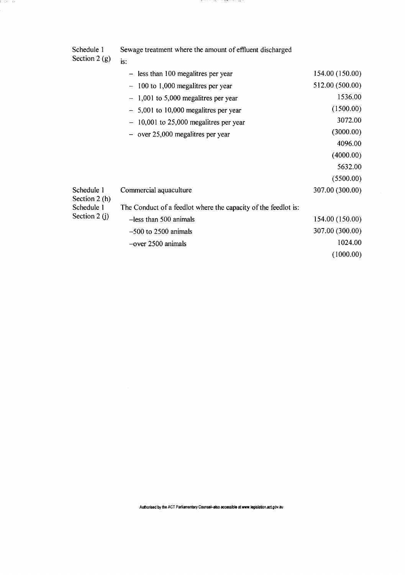| Schedule 1      | Sewage treatment where the amount of effluent discharged |
|-----------------|----------------------------------------------------------|
| Section 2 $(g)$ |                                                          |

tinga ni ka

|                                                            | $-$ less than 100 megalitres per year                          | 154.00 (150.00) |
|------------------------------------------------------------|----------------------------------------------------------------|-----------------|
|                                                            | $-100$ to 1,000 megalitres per year                            | 512.00 (500.00) |
|                                                            | $-1,001$ to 5,000 megalitres per year                          | 1536.00         |
|                                                            | $-5,001$ to 10,000 megalitres per year                         | (1500.00)       |
|                                                            | $-10,001$ to 25,000 megalitres per year                        | 3072.00         |
|                                                            | $-$ over 25,000 megalitres per year                            | (3000.00)       |
|                                                            |                                                                | 4096.00         |
|                                                            |                                                                | (4000.00)       |
|                                                            |                                                                | 5632.00         |
|                                                            |                                                                | (5500.00)       |
| Schedule 1<br>Section 2 (h)<br>Schedule 1<br>Section 2 (j) | Commercial aquaculture                                         | 307.00 (300.00) |
|                                                            | The Conduct of a feedlot where the capacity of the feedlot is: |                 |
|                                                            | $-$ less than 500 animals                                      | 154.00 (150.00) |
|                                                            | $-500$ to 2500 animals                                         | 307.00 (300.00) |
|                                                            | $-$ over 2500 animals                                          | 1024.00         |
|                                                            |                                                                | (1000.00)       |
|                                                            |                                                                |                 |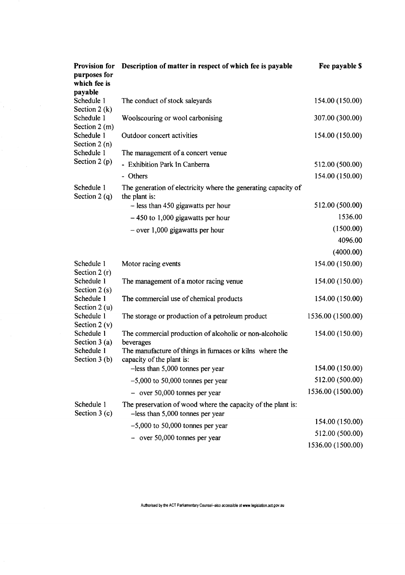| Provision for<br>purposes for<br>which fee is                                                          | Description of matter in respect of which fee is payable                                            | Fee payable \$    |
|--------------------------------------------------------------------------------------------------------|-----------------------------------------------------------------------------------------------------|-------------------|
| payable<br>Schedule 1<br>Section $2(k)$<br>Schedule 1<br>Section $2(m)$<br>Schedule 1<br>Section 2 (n) | The conduct of stock saleyards                                                                      | 154.00 (150.00)   |
|                                                                                                        | Woolscouring or wool carbonising                                                                    | 307.00 (300.00)   |
|                                                                                                        | Outdoor concert activities                                                                          | 154.00 (150.00)   |
| Schedule 1                                                                                             | The management of a concert venue                                                                   |                   |
| Section $2(p)$                                                                                         | - Exhibition Park In Canberra                                                                       | 512.00 (500.00)   |
|                                                                                                        | - Others                                                                                            | 154.00 (150.00)   |
| Schedule 1<br>Section 2 (q)                                                                            | The generation of electricity where the generating capacity of<br>the plant is:                     |                   |
|                                                                                                        | - less than 450 gigawatts per hour                                                                  | 512.00 (500.00)   |
|                                                                                                        | $-450$ to 1,000 gigawatts per hour                                                                  | 1536.00           |
|                                                                                                        | $-$ over 1,000 gigawatts per hour                                                                   | (1500.00)         |
|                                                                                                        |                                                                                                     | 4096.00           |
|                                                                                                        |                                                                                                     | (4000.00)         |
| Schedule 1<br>Section $2(r)$                                                                           | Motor racing events                                                                                 | 154.00 (150.00)   |
| Schedule 1<br>Section $2(s)$<br>Schedule 1<br>Section $2(u)$                                           | The management of a motor racing venue                                                              | 154.00 (150.00)   |
|                                                                                                        | The commercial use of chemical products                                                             | 154.00 (150.00)   |
| Schedule 1<br>Section 2 $(v)$                                                                          | The storage or production of a petroleum product                                                    | 1536.00 (1500.00) |
| Schedule 1<br>Section $3(a)$                                                                           | The commercial production of alcoholic or non-alcoholic<br>beverages                                | 154.00 (150.00)   |
| Schedule 1<br>Section $3(b)$                                                                           | The manufacture of things in furnaces or kilns where the<br>capacity of the plant is:               |                   |
|                                                                                                        | $-$ less than 5,000 tonnes per year                                                                 | 154.00 (150.00)   |
|                                                                                                        | $-5,000$ to 50,000 tonnes per year                                                                  | 512.00 (500.00)   |
|                                                                                                        | $-$ over 50,000 tonnes per year                                                                     | 1536.00 (1500.00) |
| Schedule 1<br>Section $3(c)$                                                                           | The preservation of wood where the capacity of the plant is:<br>$-$ less than 5,000 tonnes per year |                   |
|                                                                                                        | $-5,000$ to 50,000 tonnes per year                                                                  | 154.00 (150.00)   |
|                                                                                                        | $-$ over 50,000 tonnes per year                                                                     | 512.00 (500.00)   |
|                                                                                                        |                                                                                                     | 1536.00 (1500.00) |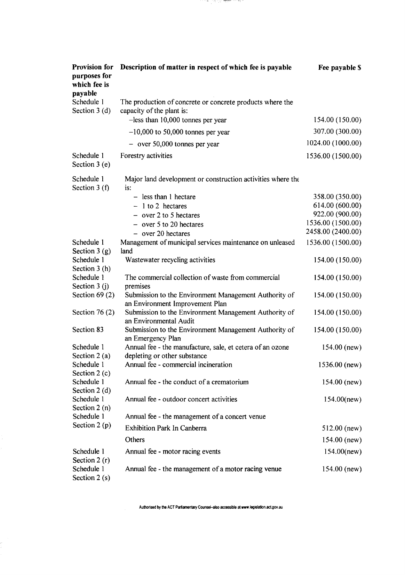| <b>Provision for</b><br>purposes for<br>which fee is<br>payable | Description of matter in respect of which fee is payable                                  | Fee payable \$    |
|-----------------------------------------------------------------|-------------------------------------------------------------------------------------------|-------------------|
| Schedule 1<br>Section $3(d)$                                    | The production of concrete or concrete products where the<br>capacity of the plant is:    |                   |
|                                                                 | -less than 10,000 tonnes per year                                                         | 154.00 (150.00)   |
|                                                                 | $-10,000$ to 50,000 tonnes per year                                                       | 307.00 (300.00)   |
|                                                                 | $-$ over 50,000 tonnes per year                                                           | 1024.00 (1000.00) |
| Schedule 1<br>Section $3(e)$                                    | Forestry activities                                                                       | 1536.00 (1500.00) |
| Schedule 1<br>Section $3(f)$                                    | Major land development or construction activities where the<br>is:                        |                   |
|                                                                 | - less than 1 hectare                                                                     | 358.00 (350.00)   |
|                                                                 | $-1$ to 2 hectares                                                                        | 614.00 (600.00)   |
|                                                                 | $-$ over 2 to 5 hectares                                                                  | 922.00 (900.00)   |
|                                                                 | $-$ over 5 to 20 hectares                                                                 | 1536.00 (1500.00) |
|                                                                 | $-$ over 20 hectares                                                                      | 2458.00 (2400.00) |
| Schedule 1                                                      | Management of municipal services maintenance on unleased                                  | 1536.00 (1500.00) |
| Section $3(g)$                                                  | land                                                                                      |                   |
| Schedule 1                                                      | Wastewater recycling activities                                                           | 154.00 (150.00)   |
| Section 3 (h)                                                   |                                                                                           |                   |
| Schedule 1                                                      | The commercial collection of waste from commercial                                        | 154.00 (150.00)   |
| Section 3 (j)<br>Section $69(2)$                                | premises<br>Submission to the Environment Management Authority of                         |                   |
|                                                                 | an Environment Improvement Plan                                                           | 154.00 (150.00)   |
| Section 76 $(2)$                                                | Submission to the Environment Management Authority of<br>an Environmental Audit           | 154.00 (150.00)   |
| Section 83                                                      | Submission to the Environment Management Authority of<br>an Emergency Plan                | 154.00 (150.00)   |
| Schedule 1<br>Section $2(a)$                                    | Annual fee - the manufacture, sale, et cetera of an ozone<br>depleting or other substance | $154.00$ (new)    |
| Schedule 1<br>Section $2(c)$                                    | Annual fee - commercial incineration                                                      | $1536.00$ (new)   |
| Schedule 1<br>Section $2(d)$                                    | Annual fee - the conduct of a crematorium                                                 | $154.00$ (new)    |
| Schedule 1<br>Section $2(n)$                                    | Annual fee - outdoor concert activities                                                   | $154.00$ (new)    |
| Schedule 1<br>Section $2(p)$                                    | Annual fee - the management of a concert venue                                            |                   |
|                                                                 | <b>Exhibition Park In Canberra</b>                                                        | $512.00$ (new)    |
|                                                                 | Others                                                                                    | $154.00$ (new)    |
| Schedule 1<br>Section $2(r)$                                    | Annual fee - motor racing events                                                          | $154.00$ (new)    |
| Schedule 1<br>Section $2(s)$                                    | Annual fee - the management of a motor racing venue                                       | $154.00$ (new)    |

Authorised by the ACT Parliamentary Counsel-also accessible at www.legislation.act.gov.au

ė,